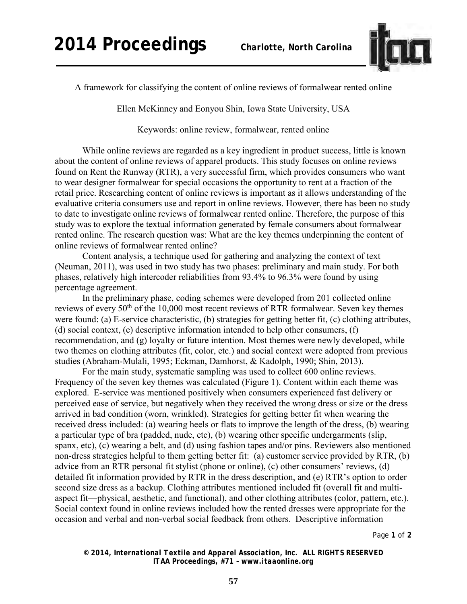

A framework for classifying the content of online reviews of formalwear rented online

Ellen McKinney and Eonyou Shin, Iowa State University, USA

Keywords: online review, formalwear, rented online

While online reviews are regarded as a key ingredient in product success, little is known about the content of online reviews of apparel products. This study focuses on online reviews found on Rent the Runway (RTR), a very successful firm, which provides consumers who want to wear designer formalwear for special occasions the opportunity to rent at a fraction of the retail price. Researching content of online reviews is important as it allows understanding of the evaluative criteria consumers use and report in online reviews. However, there has been no study to date to investigate online reviews of formalwear rented online. Therefore, the purpose of this study was to explore the textual information generated by female consumers about formalwear rented online. The research question was: What are the key themes underpinning the content of online reviews of formalwear rented online?

Content analysis, a technique used for gathering and analyzing the context of text (Neuman, 2011), was used in two study has two phases: preliminary and main study. For both phases, relatively high intercoder reliabilities from 93.4% to 96.3% were found by using percentage agreement.

In the preliminary phase, coding schemes were developed from 201 collected online reviews of every  $50<sup>th</sup>$  of the 10,000 most recent reviews of RTR formalwear. Seven key themes were found: (a) E-service characteristic, (b) strategies for getting better fit, (c) clothing attributes, (d) social context, (e) descriptive information intended to help other consumers, (f) recommendation, and (g) loyalty or future intention. Most themes were newly developed, while two themes on clothing attributes (fit, color, etc.) and social context were adopted from previous studies (Abraham-Mulali, 1995; Eckman, Damhorst, & Kadolph, 1990; Shin, 2013).

For the main study, systematic sampling was used to collect 600 online reviews. Frequency of the seven key themes was calculated (Figure 1). Content within each theme was explored. E-service was mentioned positively when consumers experienced fast delivery or perceived ease of service, but negatively when they received the wrong dress or size or the dress arrived in bad condition (worn, wrinkled). Strategies for getting better fit when wearing the received dress included: (a) wearing heels or flats to improve the length of the dress, (b) wearing a particular type of bra (padded, nude, etc), (b) wearing other specific undergarments (slip, spanx, etc), (c) wearing a belt, and (d) using fashion tapes and/or pins. Reviewers also mentioned non-dress strategies helpful to them getting better fit: (a) customer service provided by RTR, (b) advice from an RTR personal fit stylist (phone or online), (c) other consumers' reviews, (d) detailed fit information provided by RTR in the dress description, and (e) RTR's option to order second size dress as a backup. Clothing attributes mentioned included fit (overall fit and multiaspect fit—physical, aesthetic, and functional), and other clothing attributes (color, pattern, etc.). Social context found in online reviews included how the rented dresses were appropriate for the occasion and verbal and non-verbal social feedback from others. Descriptive information

Page **1** of **2** 

*© 2014, International Textile and Apparel Association, Inc. ALL RIGHTS RESERVED ITAA Proceedings, #71 – www.itaaonline.org*